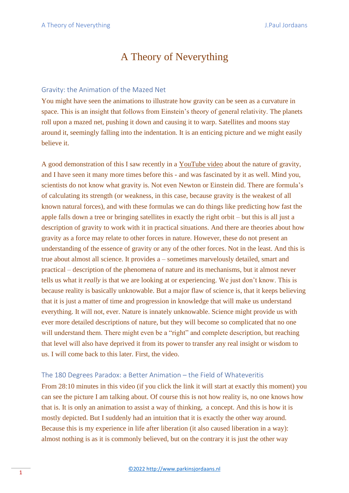# A Theory of Neverything

#### Gravity: the Animation of the Mazed Net

You might have seen the animations to illustrate how gravity can be seen as a curvature in space. This is an insight that follows from Einstein's theory of general relativity. The planets roll upon a mazed net, pushing it down and causing it to warp. Satellites and moons stay around it, seemingly falling into the indentation. It is an enticing picture and we might easily believe it.

A good demonstration of this I saw recently in a [YouTube video](https://www.youtube.com/watch?v=4IxuXuLbMoQ&t=1690s) about the nature of gravity, and I have seen it many more times before this - and was fascinated by it as well. Mind you, scientists do not know what gravity is. Not even Newton or Einstein did. There are formula's of calculating its strength (or weakness, in this case, because gravity is the weakest of all known natural forces), and with these formulas we can do things like predicting how fast the apple falls down a tree or bringing satellites in exactly the right orbit – but this is all just a description of gravity to work with it in practical situations. And there are theories about how gravity as a force may relate to other forces in nature. However, these do not present an understanding of the essence of gravity or any of the other forces. Not in the least. And this is true about almost all science. It provides a – sometimes marvelously detailed, smart and practical – description of the phenomena of nature and its mechanisms, but it almost never tells us what it *really* is that we are looking at or experiencing. We just don't know. This is because reality is basically unknowable. But a major flaw of science is, that it keeps believing that it is just a matter of time and progression in knowledge that will make us understand everything. It will not, ever. Nature is innately unknowable. Science might provide us with ever more detailed descriptions of nature, but they will become so complicated that no one will understand them. There might even be a "right" and complete description, but reaching that level will also have deprived it from its power to transfer any real insight or wisdom to us. I will come back to this later. First, the video.

#### The 180 Degrees Paradox: a Better Animation – the Field of Whateveritis

From 28:10 minutes in this video (if you click the link it will start at exactly this moment) you can see the picture I am talking about. Of course this is not how reality is, no one knows how that is. It is only an animation to assist a way of thinking, a concept. And this is how it is mostly depicted. But I suddenly had an intuition that it is exactly the other way around. Because this is my experience in life after liberation (it also caused liberation in a way): almost nothing is as it is commonly believed, but on the contrary it is just the other way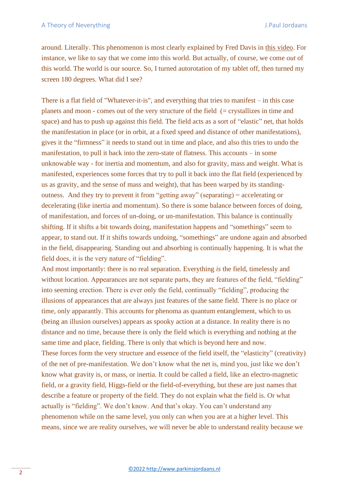around. Literally. This phenomenon is most clearly explained by Fred Davis in [this video.](https://www.youtube.com/watch?v=8Lb3vFx0tHw) For instance, we like to say that we come into this world. But actually, of course, we come *out* of this world. The world is our source. So, I turned autorotation of my tablet off, then turned my screen 180 degrees. What did I see?

There is a flat field of "Whatever-it-is", and everything that tries to manifest – in this case planets and moon - comes out of the very structure of the field (= crystallizes in time and space) and has to push up against this field. The field acts as a sort of "elastic" net, that holds the manifestation in place (or in orbit, at a fixed speed and distance of other manifestations), gives it the "firmness" it needs to stand out in time and place, and also this tries to undo the manifestation, to pull it back into the zero-state of flatness. This accounts – in some unknowable way - for inertia and momentum, and also for gravity, mass and weight. What is manifested, experiences some forces that try to pull it back into the flat field (experienced by us as gravity, and the sense of mass and weight), that has been warped by its standingoutness. And they try to prevent it from "getting away" (separating) = accelerating or decelerating (like inertia and momentum). So there is some balance between forces of doing, of manifestation, and forces of un-doing, or un-manifestation. This balance is continually shifting. If it shifts a bit towards doing, manifestation happens and "somethings" seem to appear, to stand out. If it shifts towards undoing, "somethings" are undone again and absorbed in the field, disappearing. Standing out and absorbing is continually happening. It is what the field does, it is the very nature of "fielding".

And most importantly: there is no real separation. Everything *is* the field, timelessly and without location. Appearances are not separate parts, they are features of the field, "fielding" into seeming erection. There is ever only the field, continually "fielding", producing the illusions of appearances that are always just features of the same field. There is no place or time, only apparantly. This accounts for phenoma as quantum entanglement, which to us (being an illusion ourselves) appears as spooky action at a distance. In reality there is no distance and no time, because there is only the field which is everything and nothing at the same time and place, fielding. There is only that which is beyond here and now. These forces form the very structure and essence of the field itself, the "elasticity" (creativity) of the net of pre-manifestation. We don't know what the net is, mind you, just like we don't know what gravity is, or mass, or inertia. It could be called a field, like an electro-magnetic field, or a gravity field, Higgs-field or the field-of-everything, but these are just names that describe a feature or property of the field. They do not explain what the field is. Or what actually is "fielding". We don't know. And that's okay. You can't understand any phenomenon while on the same level, you only can when you are at a higher level. This means, since we are reality ourselves, we will never be able to understand reality because we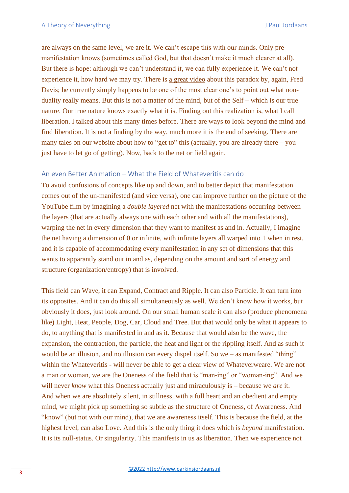are always on the same level, we are it. We can't escape this with our minds. Only premanifestation knows (sometimes called God, but that doesn't make it much clearer at all). But there is hope: although we can't understand it, we can fully experience it. We can't not experience it, how hard we may try. There is [a great video](http://www.youtube.com/watch?v=0cFWLNxw-Qk&t=0s) about this paradox by, again, Fred Davis; he currently simply happens to be one of the most clear one's to point out what nonduality really means. But this is not a matter of the mind, but of the Self – which is our true nature. Our true nature knows exactly what it is. Finding out this realization is, what I call liberation. I talked about this many times before. There are ways to look beyond the mind and find liberation. It is not a finding by the way, much more it is the end of seeking. There are many tales on our website about how to "get to" this (actually, you are already there  $-$  you just have to let go of getting). Now, back to the net or field again.

#### An even Better Animation – What the Field of Whateveritis can do

To avoid confusions of concepts like up and down, and to better depict that manifestation comes out of the un-manifested (and vice versa), one can improve further on the picture of the YouTube film by imagining a *double layered* net with the manifestations occurring between the layers (that are actually always one with each other and with all the manifestations), warping the net in every dimension that they want to manifest as and in. Actually, I imagine the net having a dimension of 0 or infinite, with infinite layers all warped into 1 when in rest, and it is capable of accommodating every manifestation in any set of dimensions that this wants to apparantly stand out in and as, depending on the amount and sort of energy and structure (organization/entropy) that is involved.

This field can Wave, it can Expand, Contract and Ripple. It can also Particle. It can turn into its opposites. And it can do this all simultaneously as well. We don't know how it works, but obviously it does, just look around. On our small human scale it can also (produce phenomena like) Light, Heat, People, Dog, Car, Cloud and Tree. But that would only be what it appears to do, to anything that is manifested in and as it. Because that would also be the wave, the expansion, the contraction, the particle, the heat and light or the rippling itself. And as such it would be an illusion, and no illusion can every dispel itself. So we – as manifested "thing" within the Whateveritis - will never be able to get a clear view of Whateverweare. We are not a man or woman, we are the Oneness of the field that is "man-ing" or "woman-ing". And we will never *know* what this Oneness actually just and miraculously is – because we *are* it. And when we are absolutely silent, in stillness, with a full heart and an obedient and empty mind, we might pick up something so subtle as the structure of Oneness, of Awareness. And "know" (but not with our mind), that we are awareness itself. This is because the field, at the highest level, can also Love. And this is the only thing it does which is *beyond* manifestation. It is its null-status. Or singularity. This manifests in us as liberation. Then we experience not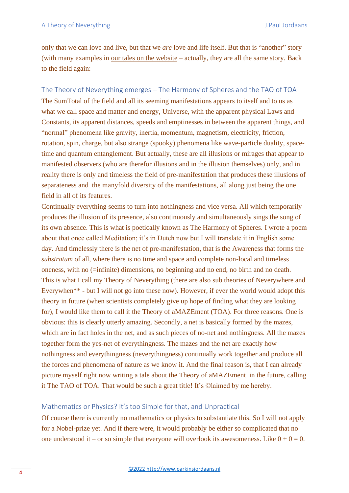only that we can love and live, but that we *are* love and life itself. But that is "another" story (with many examples in [our tales on the website](http://www.parkinsjordaans.nl/paul_debbie.php) – actually, they are all the same story. Back to the field again:

The Theory of Neverything emerges – The Harmony of Spheres and the TAO of TOA The SumTotal of the field and all its seeming manifestations appears to itself and to us as what we call space and matter and energy, Universe, with the apparent physical Laws and Constants, its apparent distances, speeds and emptinesses in between the apparent things, and "normal" phenomena like gravity, inertia, momentum, magnetism, electricity, friction, rotation, spin, charge, but also strange (spooky) phenomena like wave-particle duality, spacetime and quantum entanglement. But actually, these are all illusions or mirages that appear to manifested observers (who are therefor illusions and in the illusion themselves) only, and in reality there is only and timeless the field of pre-manifestation that produces these illusions of separateness and the manyfold diversity of the manifestations, all along just being the one field in all of its features.

Continually everything seems to turn into nothingness and vice versa. All which temporarily produces the illusion of its presence, also continuously and simultaneously sings the song of its own absence. This is what is poetically known as The Harmony of Spheres. I wrote [a poem](http://www.parkinsjordaans.nl/schilderij/104/meditatie) about that once called Meditation; it's in Dutch now but I will translate it in English some day. And timelessly there is the net of pre-manifestation, that is the Awareness that forms the *substratum* of all, where there is no time and space and complete non-local and timeless oneness, with no (=infinite) dimensions, no beginning and no end, no birth and no death. This is what I call my Theory of Neverything (there are also sub theories of Neverywhere and Everywhen\*\* - but I will not go into these now). However, if ever the world would adopt this theory in future (when scientists completely give up hope of finding what they are looking for), I would like them to call it the Theory of aMAZEment (TOA). For three reasons. One is obvious: this is clearly utterly amazing. Secondly, a net is basically formed by the mazes, which are in fact holes in the net, and as such pieces of no-net and nothingness. All the mazes together form the yes-net of everythingness. The mazes and the net are exactly how nothingness and everythingness (neverythingness) continually work together and produce all the forces and phenomena of nature as we know it. And the final reason is, that I can already picture myself right now writing a tale about the Theory of aMAZEment in the future, calling it The TAO of TOA. That would be such a great title! It's ©laimed by me hereby.

#### Mathematics or Physics? It's too Simple for that, and Unpractical

Of course there is currently no mathematics or physics to substantiate this. So I will not apply for a Nobel-prize yet. And if there were, it would probably be either so complicated that no one understood it – or so simple that everyone will overlook its awesomeness. Like  $0 + 0 = 0$ .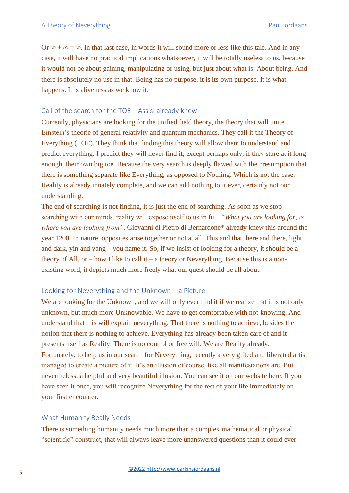Or  $\infty + \infty = \infty$ . In that last case, in words it will sound more or less like this tale. And in any case, it will have no practical implications whatsoever, it will be totally useless to us, because it would not be about gaining, manipulating or using, but just about what is. About being. And there is absolutely no use in that. Being has no purpose, it is its own purpose. It is what happens. It is aliveness as we know it.

## Call of the search for the TOE – Assisi already knew

Currently, physicians are looking for the unified field theory, the theory that will unite Einstein's theorie of general relativity and quantum mechanics. They call it the Theory of Everything (TOE). They think that finding this theory will allow them to understand and predict everything. I predict they will never find it, except perhaps only, if they stare at it long enough, their own big toe. Because the very search is deeply flawed with the presumption that there is something separate like Everything, as opposed to Nothing. Which is not the case. Reality is already innately complete, and we can add nothing to it ever, certainly not our understanding.

The end of searching is not finding, it is just the end of searching. As soon as we stop searching with our minds, reality will expose itself to us in full. "*What you are looking for, is where you are looking from"*. Giovanni di Pietro di Bernardone\* already knew this around the year 1200. In nature, opposites arise together or not at all. This and that, here and there, light and dark, yin and yang – you name it. So, if we insist of looking for a theory, it should be a theory of All, or – how I like to call it – a theory or Neverything. Because this is a nonexisting word, it depicts much more freely what our quest should be all about.

### Looking for Neverything and the Unknown – a Picture

We are looking for the Unknown, and we will only ever find it if we realize that it is not only unknown, but much more Unknowable. We have to get comfortable with not-knowing. And understand that this will explain neverything. That there is nothing to achieve, besides the notion that there is nothing to achieve. Everything has already been taken care of and it presents itself as Reality. There is no control or free will. We are Reality already. Fortunately, to help us in our search for Neverything, recently a very gifted and liberated artist managed to create a picture of it. It's an illusion of course, like all manifestations are. But nevertheless, a helpful and very beautiful illusion. You can see it on our [website here.](http://www.parkinsjordaans.nl/schilderij/461/neverything) If you have seen it once, you will recognize Neverything for the rest of your life immediately on your first encounter.

# What Humanity Really Needs

There is something humanity needs much more than a complex mathematical or physical "scientific" construct, that will always leave more unanswered questions than it could ever